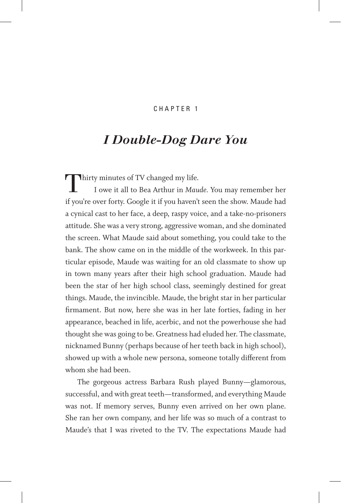## CHAPTER 1

## *I Double-Dog Dare You*

Thirty minutes of TV changed my life.

I owe it all to Bea Arthur in *Maude.* You may remember her if you're over forty. Google it if you haven't seen the show. Maude had a cynical cast to her face, a deep, raspy voice, and a take-no-prisoners attitude. She was a very strong, aggressive woman, and she dominated the screen. What Maude said about something, you could take to the bank. The show came on in the middle of the workweek. In this particular episode, Maude was waiting for an old classmate to show up in town many years after their high school graduation. Maude had been the star of her high school class, seemingly destined for great things. Maude, the invincible. Maude, the bright star in her particular firmament. But now, here she was in her late forties, fading in her appearance, beached in life, acerbic, and not the powerhouse she had thought she was going to be. Greatness had eluded her. The classmate, nicknamed Bunny (perhaps because of her teeth back in high school), showed up with a whole new persona, someone totally different from whom she had been.

The gorgeous actress Barbara Rush played Bunny—glamorous, successful, and with great teeth—transformed, and everything Maude was not. If memory serves, Bunny even arrived on her own plane. She ran her own company, and her life was so much of a contrast to Maude's that I was riveted to the TV. The expectations Maude had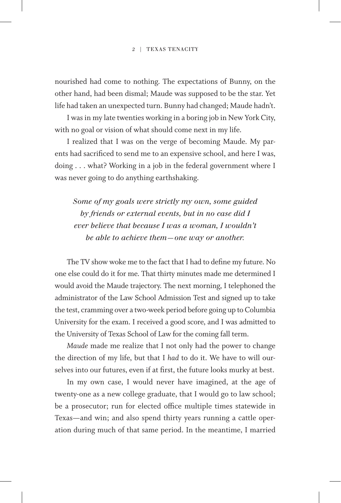nourished had come to nothing. The expectations of Bunny, on the other hand, had been dismal; Maude was supposed to be the star. Yet life had taken an unexpected turn. Bunny had changed; Maude hadn't.

I was in my late twenties working in a boring job in New York City, with no goal or vision of what should come next in my life.

I realized that I was on the verge of becoming Maude. My parents had sacrificed to send me to an expensive school, and here I was, doing . . . what? Working in a job in the federal government where I was never going to do anything earthshaking.

*Some of my goals were strictly my own, some guided by friends or external events, but in no case did I ever believe that because I was a woman, I wouldn't be able to achieve them—one way or another.*

The TV show woke me to the fact that I had to define my future. No one else could do it for me. That thirty minutes made me determined I would avoid the Maude trajectory. The next morning, I telephoned the administrator of the Law School Admission Test and signed up to take the test, cramming over a two-week period before going up to Columbia University for the exam. I received a good score, and I was admitted to the University of Texas School of Law for the coming fall term.

*Maude* made me realize that I not only had the power to change the direction of my life, but that I *had* to do it. We have to will ourselves into our futures, even if at first, the future looks murky at best.

In my own case, I would never have imagined, at the age of twenty-one as a new college graduate, that I would go to law school; be a prosecutor; run for elected office multiple times statewide in Texas—and win; and also spend thirty years running a cattle operation during much of that same period. In the meantime, I married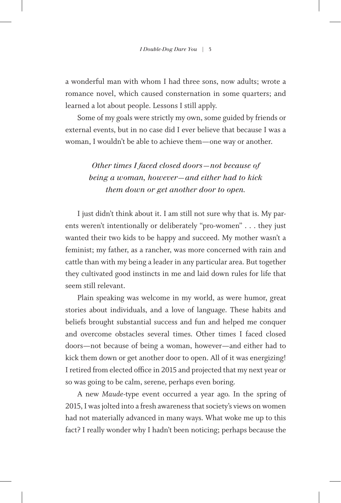a wonderful man with whom I had three sons, now adults; wrote a romance novel, which caused consternation in some quarters; and learned a lot about people. Lessons I still apply.

Some of my goals were strictly my own, some guided by friends or external events, but in no case did I ever believe that because I was a woman, I wouldn't be able to achieve them—one way or another.

> *Other times I faced closed doors—not because of being a woman, however—and either had to kick them down or get another door to open.*

I just didn't think about it. I am still not sure why that is. My parents weren't intentionally or deliberately "pro-women" . . . they just wanted their two kids to be happy and succeed. My mother wasn't a feminist; my father, as a rancher, was more concerned with rain and cattle than with my being a leader in any particular area. But together they cultivated good instincts in me and laid down rules for life that seem still relevant.

Plain speaking was welcome in my world, as were humor, great stories about individuals, and a love of language. These habits and beliefs brought substantial success and fun and helped me conquer and overcome obstacles several times. Other times I faced closed doors—not because of being a woman, however—and either had to kick them down or get another door to open. All of it was energizing! I retired from elected office in 2015 and projected that my next year or so was going to be calm, serene, perhaps even boring.

A new *Maude*-type event occurred a year ago. In the spring of 2015, I was jolted into a fresh awareness that society's views on women had not materially advanced in many ways. What woke me up to this fact? I really wonder why I hadn't been noticing; perhaps because the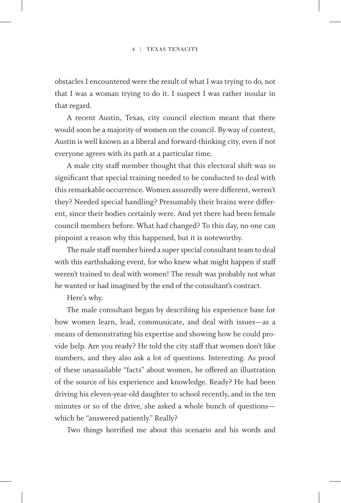## 4 | Texas Tenacity

obstacles I encountered were the result of what I was trying to do, not that I was a woman trying to do it. I suspect I was rather insular in that regard.

A recent Austin, Texas, city council election meant that there would soon be a majority of women on the council. By way of context, Austin is well known as a liberal and forward-thinking city, even if not everyone agrees with its path at a particular time.

A male city staff member thought that this electoral shift was so significant that special training needed to be conducted to deal with this remarkable occurrence. Women assuredly were different, weren't they? Needed special handling? Presumably their brains were different, since their bodies certainly were. And yet there had been female council members before. What had changed? To this day, no one can pinpoint a reason why this happened, but it is noteworthy.

The male staff member hired a super special consultant team to deal with this earthshaking event, for who knew what might happen if staff weren't trained to deal with women! The result was probably not what he wanted or had imagined by the end of the consultant's contract.

Here's why.

The male consultant began by describing his experience base for how women learn, lead, communicate, and deal with issues—as a means of demonstrating his expertise and showing how he could provide help. Are you ready? He told the city staff that women don't like numbers, and they also ask a lot of questions. Interesting. As proof of these unassailable "facts" about women, he offered an illustration of the source of his experience and knowledge. Ready? He had been driving his eleven-year-old daughter to school recently, and in the ten minutes or so of the drive, she asked a whole bunch of questions which he "answered patiently." Really?

Two things horrified me about this scenario and his words and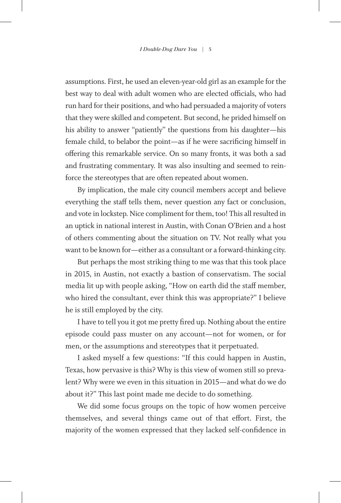assumptions. First, he used an eleven-year-old girl as an example for the best way to deal with adult women who are elected officials, who had run hard for their positions, and who had persuaded a majority of voters that they were skilled and competent. But second, he prided himself on his ability to answer "patiently" the questions from his daughter—his female child, to belabor the point—as if he were sacrificing himself in offering this remarkable service. On so many fronts, it was both a sad and frustrating commentary. It was also insulting and seemed to reinforce the stereotypes that are often repeated about women.

By implication, the male city council members accept and believe everything the staff tells them, never question any fact or conclusion, and vote in lockstep. Nice compliment for them, too! This all resulted in an uptick in national interest in Austin, with Conan O'Brien and a host of others commenting about the situation on TV. Not really what you want to be known for—either as a consultant or a forward-thinking city.

But perhaps the most striking thing to me was that this took place in 2015, in Austin, not exactly a bastion of conservatism. The social media lit up with people asking, "How on earth did the staff member, who hired the consultant, ever think this was appropriate?" I believe he is still employed by the city.

I have to tell you it got me pretty fired up. Nothing about the entire episode could pass muster on any account—not for women, or for men, or the assumptions and stereotypes that it perpetuated.

I asked myself a few questions: "If this could happen in Austin, Texas, how pervasive is this? Why is this view of women still so prevalent? Why were we even in this situation in 2015—and what do we do about it?" This last point made me decide to do something.

We did some focus groups on the topic of how women perceive themselves, and several things came out of that effort. First, the majority of the women expressed that they lacked self-confidence in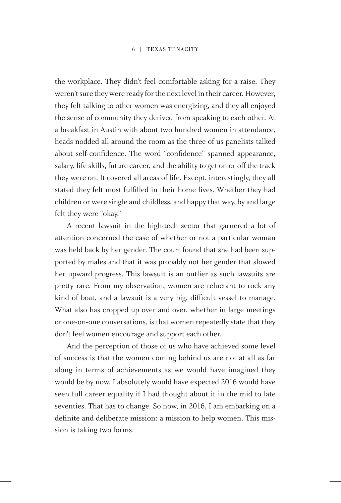the workplace. They didn't feel comfortable asking for a raise. They weren't sure they were ready for the next level in their career. However, they felt talking to other women was energizing, and they all enjoyed the sense of community they derived from speaking to each other. At a breakfast in Austin with about two hundred women in attendance, heads nodded all around the room as the three of us panelists talked about self-confidence. The word "confidence" spanned appearance, salary, life skills, future career, and the ability to get on or off the track they were on. It covered all areas of life. Except, interestingly, they all stated they felt most fulfilled in their home lives. Whether they had children or were single and childless, and happy that way, by and large felt they were "okay."

A recent lawsuit in the high-tech sector that garnered a lot of attention concerned the case of whether or not a particular woman was held back by her gender. The court found that she had been supported by males and that it was probably not her gender that slowed her upward progress. This lawsuit is an outlier as such lawsuits are pretty rare. From my observation, women are reluctant to rock any kind of boat, and a lawsuit is a very big, difficult vessel to manage. What also has cropped up over and over, whether in large meetings or one-on-one conversations, is that women repeatedly state that they don't feel women encourage and support each other.

And the perception of those of us who have achieved some level of success is that the women coming behind us are not at all as far along in terms of achievements as we would have imagined they would be by now. I absolutely would have expected 2016 would have seen full career equality if I had thought about it in the mid to late seventies. That has to change. So now, in 2016, I am embarking on a definite and deliberate mission: a mission to help women. This mission is taking two forms.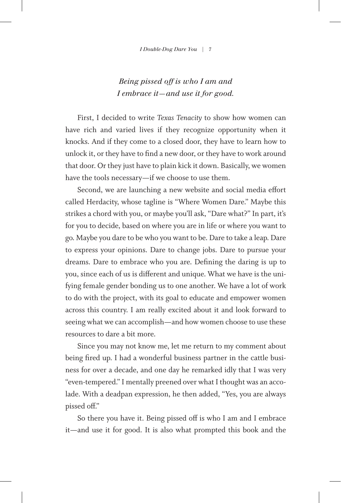*I Double-Dog Dare You* | 7

*Being pissed off is who I am and I embrace it—and use it for good.*

First, I decided to write *Texas Tenacity* to show how women can have rich and varied lives if they recognize opportunity when it knocks. And if they come to a closed door, they have to learn how to unlock it, or they have to find a new door, or they have to work around that door. Or they just have to plain kick it down. Basically, we women have the tools necessary—if we choose to use them.

Second, we are launching a new website and social media effort called Herdacity, whose tagline is "Where Women Dare." Maybe this strikes a chord with you, or maybe you'll ask, "Dare what?" In part, it's for you to decide, based on where you are in life or where you want to go. Maybe you dare to be who you want to be. Dare to take a leap. Dare to express your opinions. Dare to change jobs. Dare to pursue your dreams. Dare to embrace who you are. Defining the daring is up to you, since each of us is different and unique. What we have is the unifying female gender bonding us to one another. We have a lot of work to do with the project, with its goal to educate and empower women across this country. I am really excited about it and look forward to seeing what we can accomplish—and how women choose to use these resources to dare a bit more.

Since you may not know me, let me return to my comment about being fired up. I had a wonderful business partner in the cattle business for over a decade, and one day he remarked idly that I was very "even-tempered." I mentally preened over what I thought was an accolade. With a deadpan expression, he then added, "Yes, you are always pissed off."

So there you have it. Being pissed off is who I am and I embrace it—and use it for good. It is also what prompted this book and the